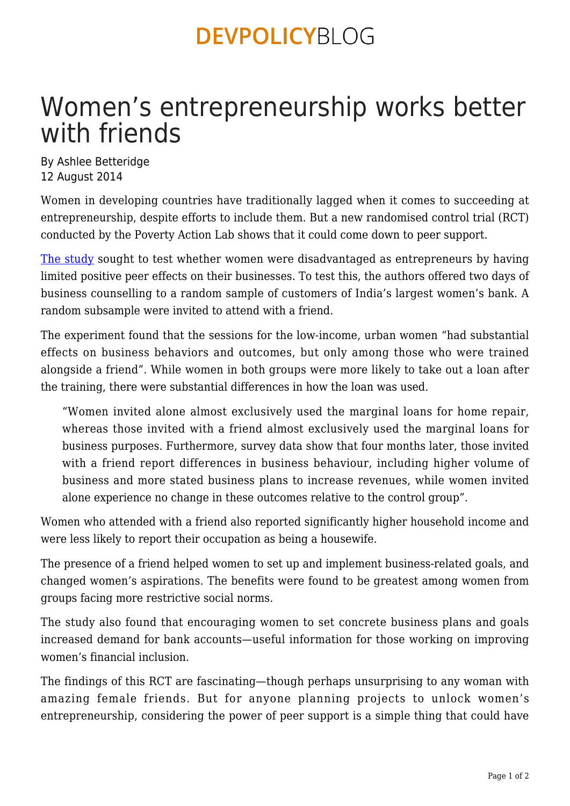### **DEVPOLICYBLOG**

# Women's entrepreneurship works better with friends

By Ashlee Betteridge 12 August 2014

Women in developing countries have traditionally lagged when it comes to succeeding at entrepreneurship, despite efforts to include them. But a new randomised control trial (RCT) conducted by the Poverty Action Lab shows that it could come down to peer support.

[The study](http://www.povertyactionlab.org/publication/friends-work-can-peer-support-stimulate-female-entrepreneurship) sought to test whether women were disadvantaged as entrepreneurs by having limited positive peer effects on their businesses. To test this, the authors offered two days of business counselling to a random sample of customers of India's largest women's bank. A random subsample were invited to attend with a friend.

The experiment found that the sessions for the low-income, urban women "had substantial effects on business behaviors and outcomes, but only among those who were trained alongside a friend". While women in both groups were more likely to take out a loan after the training, there were substantial differences in how the loan was used.

"Women invited alone almost exclusively used the marginal loans for home repair, whereas those invited with a friend almost exclusively used the marginal loans for business purposes. Furthermore, survey data show that four months later, those invited with a friend report differences in business behaviour, including higher volume of business and more stated business plans to increase revenues, while women invited alone experience no change in these outcomes relative to the control group".

Women who attended with a friend also reported significantly higher household income and were less likely to report their occupation as being a housewife.

The presence of a friend helped women to set up and implement business-related goals, and changed women's aspirations. The benefits were found to be greatest among women from groups facing more restrictive social norms.

The study also found that encouraging women to set concrete business plans and goals increased demand for bank accounts—useful information for those working on improving women's financial inclusion.

The findings of this RCT are fascinating—though perhaps unsurprising to any woman with amazing female friends. But for anyone planning projects to unlock women's entrepreneurship, considering the power of peer support is a simple thing that could have